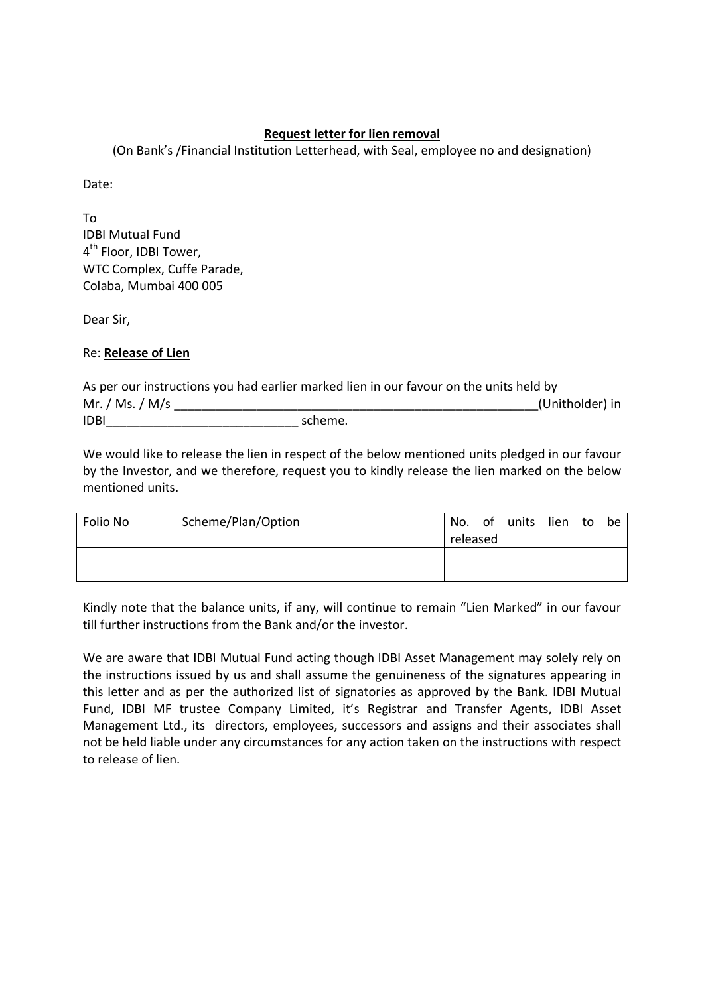## **Request letter for lien removal**

(On Bank's /Financial Institution Letterhead, with Seal, employee no and designation)

Date:

To IDBI Mutual Fund 4<sup>th</sup> Floor, IDBI Tower, WTC Complex, Cuffe Parade, Colaba, Mumbai 400 005

Dear Sir,

Re: **Release of Lien**

|                 | As per our instructions you had earlier marked lien in our favour on the units held by |                 |
|-----------------|----------------------------------------------------------------------------------------|-----------------|
| Mr. / Ms. / M/s |                                                                                        | (Unitholder) in |
| <b>IDBI</b>     | scheme.                                                                                |                 |

We would like to release the lien in respect of the below mentioned units pledged in our favour by the Investor, and we therefore, request you to kindly release the lien marked on the below mentioned units.

| Folio No | Scheme/Plan/Option | released | No. of units lien to be |  |  |
|----------|--------------------|----------|-------------------------|--|--|
|          |                    |          |                         |  |  |

Kindly note that the balance units, if any, will continue to remain "Lien Marked" in our favour till further instructions from the Bank and/or the investor.

We are aware that IDBI Mutual Fund acting though IDBI Asset Management may solely rely on the instructions issued by us and shall assume the genuineness of the signatures appearing in this letter and as per the authorized list of signatories as approved by the Bank. IDBI Mutual Fund, IDBI MF trustee Company Limited, it's Registrar and Transfer Agents, IDBI Asset Management Ltd., its directors, employees, successors and assigns and their associates shall not be held liable under any circumstances for any action taken on the instructions with respect to release of lien.